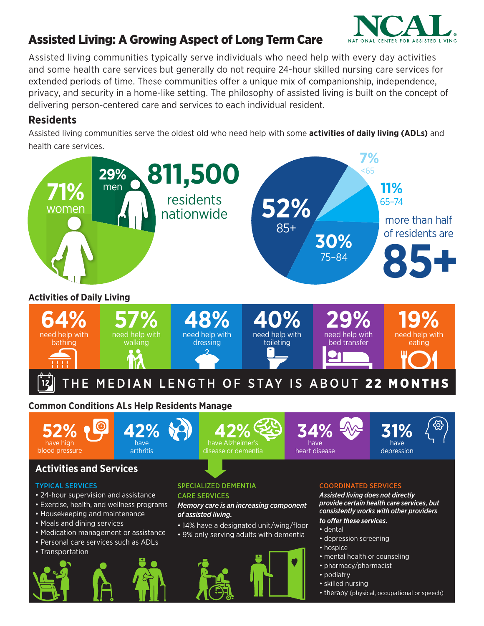

## Assisted Living: A Growing Aspect of Long Term Care

Assisted living communities typically serve individuals who need help with every day activities and some health care services but generally do not require 24-hour skilled nursing care services for extended periods of time. These communities offer a unique mix of companionship, independence, privacy, and security in a home-like setting. The philosophy of assisted living is built on the concept of delivering person-centered care and services to each individual resident.

#### **Residents**

Assisted living communities serve the oldest old who need help with some **activities of daily living (ADLs)** and health care services.